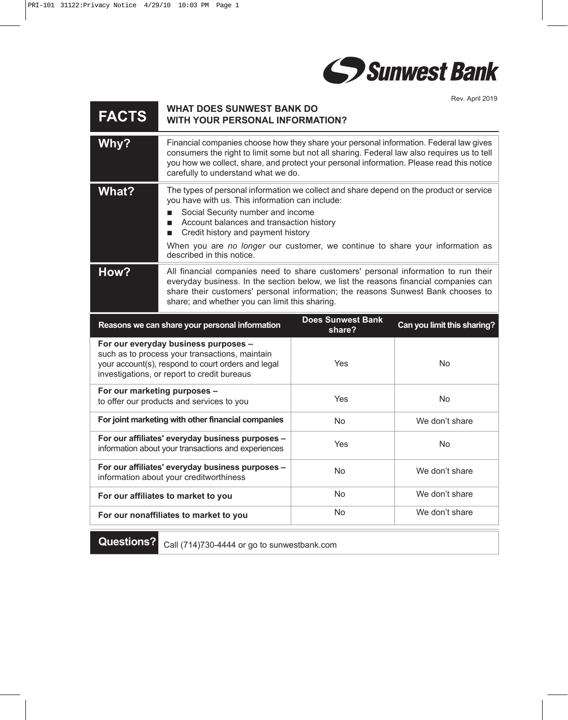

Rev. April 2019

| <b>FACTS</b>                                                                                                                                                                                | <b>WHAT DOES SUNWEST BANK DO</b><br><b>WITH YOUR PERSONAL INFORMATION?</b>                                                                                                                                                                                                                                                                                   |                                    |                             |
|---------------------------------------------------------------------------------------------------------------------------------------------------------------------------------------------|--------------------------------------------------------------------------------------------------------------------------------------------------------------------------------------------------------------------------------------------------------------------------------------------------------------------------------------------------------------|------------------------------------|-----------------------------|
| Why?                                                                                                                                                                                        | Financial companies choose how they share your personal information. Federal law gives<br>consumers the right to limit some but not all sharing. Federal law also requires us to tell<br>you how we collect, share, and protect your personal information. Please read this notice<br>carefully to understand what we do.                                    |                                    |                             |
| <b>What?</b>                                                                                                                                                                                | The types of personal information we collect and share depend on the product or service<br>you have with us. This information can include:<br>Social Security number and income<br>Account balances and transaction history<br>П<br>Credit history and payment history<br>П<br>When you are no longer our customer, we continue to share your information as |                                    |                             |
|                                                                                                                                                                                             | described in this notice.                                                                                                                                                                                                                                                                                                                                    |                                    |                             |
| How?                                                                                                                                                                                        | All financial companies need to share customers' personal information to run their<br>everyday business. In the section below, we list the reasons financial companies can<br>share their customers' personal information; the reasons Sunwest Bank chooses to<br>share; and whether you can limit this sharing.                                             |                                    |                             |
|                                                                                                                                                                                             | Reasons we can share your personal information                                                                                                                                                                                                                                                                                                               | <b>Does Sunwest Bank</b><br>share? | Can you limit this sharing? |
| For our everyday business purposes -<br>such as to process your transactions, maintain<br>your account(s), respond to court orders and legal<br>investigations, or report to credit bureaus |                                                                                                                                                                                                                                                                                                                                                              | Yes                                | <b>No</b>                   |
| For our marketing purposes -<br>to offer our products and services to you                                                                                                                   |                                                                                                                                                                                                                                                                                                                                                              | Yes                                | <b>No</b>                   |
| For joint marketing with other financial companies                                                                                                                                          |                                                                                                                                                                                                                                                                                                                                                              | <b>No</b>                          | We don't share              |
| For our affiliates' everyday business purposes -<br>information about your transactions and experiences                                                                                     |                                                                                                                                                                                                                                                                                                                                                              | Yes                                | <b>No</b>                   |
| For our affiliates' everyday business purposes -<br>information about your creditworthiness                                                                                                 |                                                                                                                                                                                                                                                                                                                                                              | <b>No</b>                          | We don't share              |
| For our affiliates to market to you                                                                                                                                                         |                                                                                                                                                                                                                                                                                                                                                              | <b>No</b>                          | We don't share              |
| For our nonaffiliates to market to you                                                                                                                                                      |                                                                                                                                                                                                                                                                                                                                                              | No                                 | We don't share              |